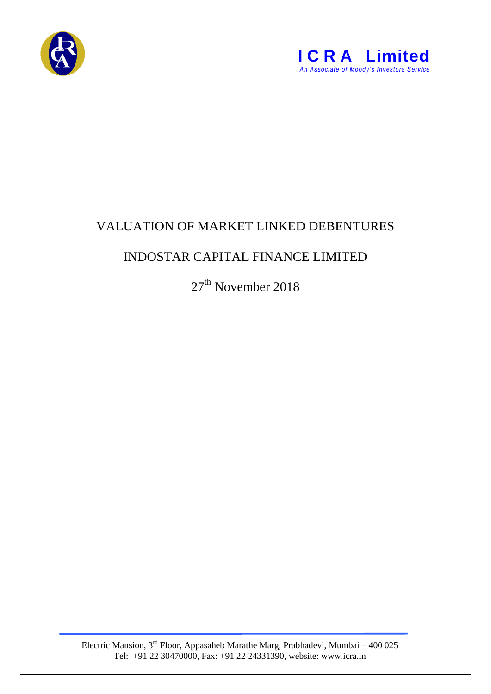



## VALUATION OF MARKET LINKED DEBENTURES

## INDOSTAR CAPITAL FINANCE LIMITED

27<sup>th</sup> November 2018